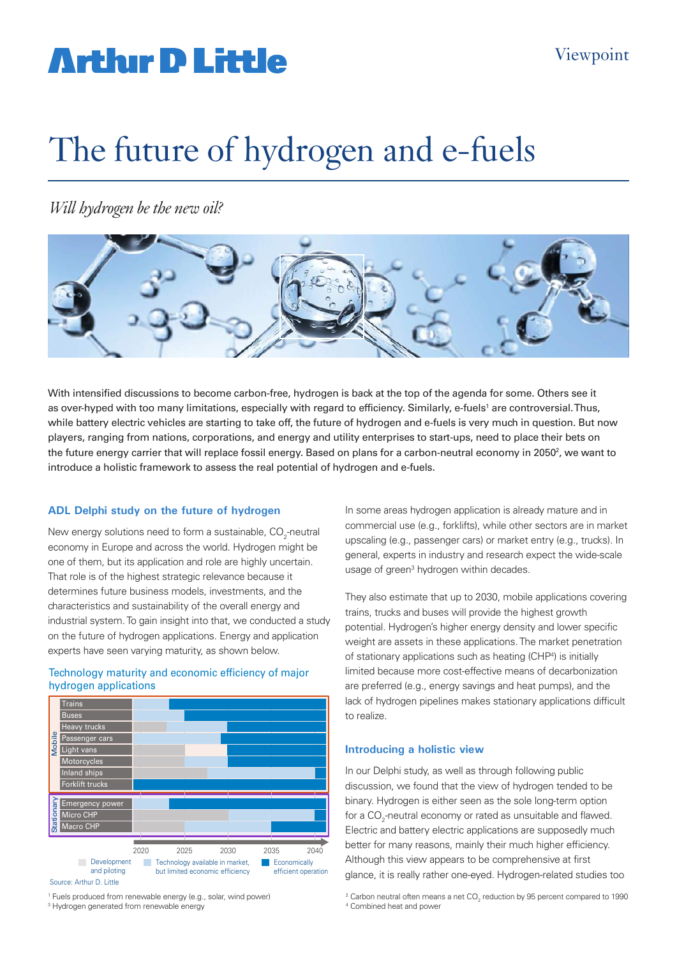# **Arthir D Little**

# The future of hydrogen and e-fuels

*Will hydrogen be the new oil?*



With intensified discussions to become carbon-free, hydrogen is back at the top of the agenda for some. Others see it as over-hyped with too many limitations, especially with regard to efficiency. Similarly, e-fuels' are controversial.Thus, while battery electric vehicles are starting to take off, the future of hydrogen and e-fuels is very much in question. But now players, ranging from nations, corporations, and energy and utility enterprises to start-ups, need to place their bets on the future energy carrier that will replace fossil energy. Based on plans for a carbon-neutral economy in 2050<sup>2</sup>, we want to introduce a holistic framework to assess the real potential of hydrogen and e-fuels.

### **ADL Delphi study on the future of hydrogen**

New energy solutions need to form a sustainable,  $\mathrm{CO}_2$ -neutral economy in Europe and across the world. Hydrogen might be one of them, but its application and role are highly uncertain. That role is of the highest strategic relevance because it determines future business models, investments, and the characteristics and sustainability of the overall energy and industrial system. To gain insight into that, we conducted a study on the future of hydrogen applications. Energy and application experts have seen varying maturity, as shown below.

#### Technology maturity and economic efficiency of major hydrogen applications



<sup>1</sup> Fuels produced from renewable energy (e.g., solar, wind power)  $2\frac{2}{3}$ 

<sup>3</sup> Hydrogen generated from renewable energy and the state of  $4\,$ 

In some areas hydrogen application is already mature and in commercial use (e.g., forklifts), while other sectors are in market upscaling (e.g., passenger cars) or market entry (e.g., trucks). In general, experts in industry and research expect the wide-scale usage of green<sup>3</sup> hydrogen within decades.

They also estimate that up to 2030, mobile applications covering trains, trucks and buses will provide the highest growth potential. Hydrogen's higher energy density and lower specific weight are assets in these applications. The market penetration of stationary applications such as heating (CHP<sup>4</sup>) is initially limited because more cost-effective means of decarbonization are preferred (e.g., energy savings and heat pumps), and the lack of hydrogen pipelines makes stationary applications difficult to realize.

#### **Introducing a holistic view**

In our Delphi study, as well as through following public discussion, we found that the view of hydrogen tended to be binary. Hydrogen is either seen as the sole long-term option for a CO<sub>2</sub>-neutral economy or rated as unsuitable and flawed. Electric and battery electric applications are supposedly much better for many reasons, mainly their much higher efficiency. Although this view appears to be comprehensive at first glance, it is really rather one-eyed. Hydrogen-related studies too

Carbon neutral often means a net CO<sub>2</sub> reduction by 95 percent compared to 1990 <sup>4</sup> Combined heat and power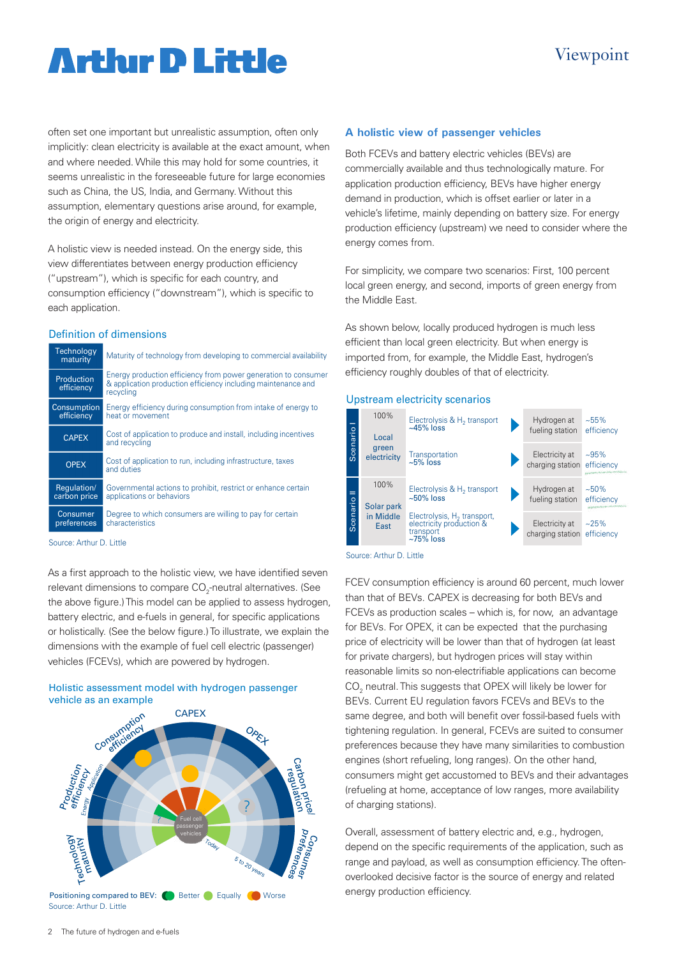# **Arthur D Little**

often set one important but unrealistic assumption, often only implicitly: clean electricity is available at the exact amount, when and where needed. While this may hold for some countries, it seems unrealistic in the foreseeable future for large economies such as China, the US, India, and Germany. Without this assumption, elementary questions arise around, for example, the origin of energy and electricity.

A holistic view is needed instead. On the energy side, this view differentiates between energy production efficiency ("upstream"), which is specific for each country, and consumption efficiency ("downstream"), which is specific to each application.

#### Definition of dimensions

| <b>Technology</b><br>maturity | Maturity of technology from developing to commercial availability                                                                            |
|-------------------------------|----------------------------------------------------------------------------------------------------------------------------------------------|
| Production<br>efficiency      | Energy production efficiency from power generation to consumer<br>& application production efficiency including maintenance and<br>recycling |
| Consumption<br>efficiency     | Energy efficiency during consumption from intake of energy to<br>heat or movement                                                            |
| <b>CAPEX</b>                  | Cost of application to produce and install, including incentives<br>and recycling                                                            |
| <b>OPEX</b>                   | Cost of application to run, including infrastructure, taxes<br>and duties                                                                    |
| Regulation/<br>carbon price   | Governmental actions to prohibit, restrict or enhance certain<br>applications or behaviors                                                   |
| Consumer<br>preferences       | Degree to which consumers are willing to pay for certain<br>characteristics                                                                  |

Source: Arthur D. Little

As a first approach to the holistic view, we have identified seven relevant dimensions to compare CO<sub>2</sub>-neutral alternatives. (See the above figure.) This model can be applied to assess hydrogen, battery electric, and e-fuels in general, for specific applications or holistically. (See the below figure.) To illustrate, we explain the dimensions with the example of fuel cell electric (passenger) vehicles (FCEVs), which are powered by hydrogen.

## Holistic assessment model with hydrogen passenger



#### **A holistic view of passenger vehicles**

Both FCEVs and battery electric vehicles (BEVs) are commercially available and thus technologically mature. For application production efficiency, BEVs have higher energy demand in production, which is offset earlier or later in a vehicle's lifetime, mainly depending on battery size. For energy production efficiency (upstream) we need to consider where the energy comes from.

For simplicity, we compare two scenarios: First, 100 percent local green energy, and second, imports of green energy from the Middle East.

As shown below, locally produced hydrogen is much less efficient than local green electricity. But when energy is imported from, for example, the Middle East, hydrogen's efficiency roughly doubles of that of electricity.

#### Upstream electricity scenarios



Source: Arthur D. Little

FCEV consumption efficiency is around 60 percent, much lower than that of BEVs. CAPEX is decreasing for both BEVs and FCEVs as production scales – which is, for now, an advantage for BEVs. For OPEX, it can be expected that the purchasing price of electricity will be lower than that of hydrogen (at least for private chargers), but hydrogen prices will stay within reasonable limits so non-electrifiable applications can become  $\mathrm{CO}_2$  neutral. This suggests that OPEX will likely be lower for BEVs. Current EU regulation favors FCEVs and BEVs to the same degree, and both will benefit over fossil-based fuels with tightening regulation. In general, FCEVs are suited to consumer preferences because they have many similarities to combustion engines (short refueling, long ranges). On the other hand, consumers might get accustomed to BEVs and their advantages (refueling at home, acceptance of low ranges, more availability of charging stations).

Overall, assessment of battery electric and, e.g., hydrogen, depend on the specific requirements of the application, such as range and payload, as well as consumption efficiency. The oftenoverlooked decisive factor is the source of energy and related energy production efficiency.

## Viewpoint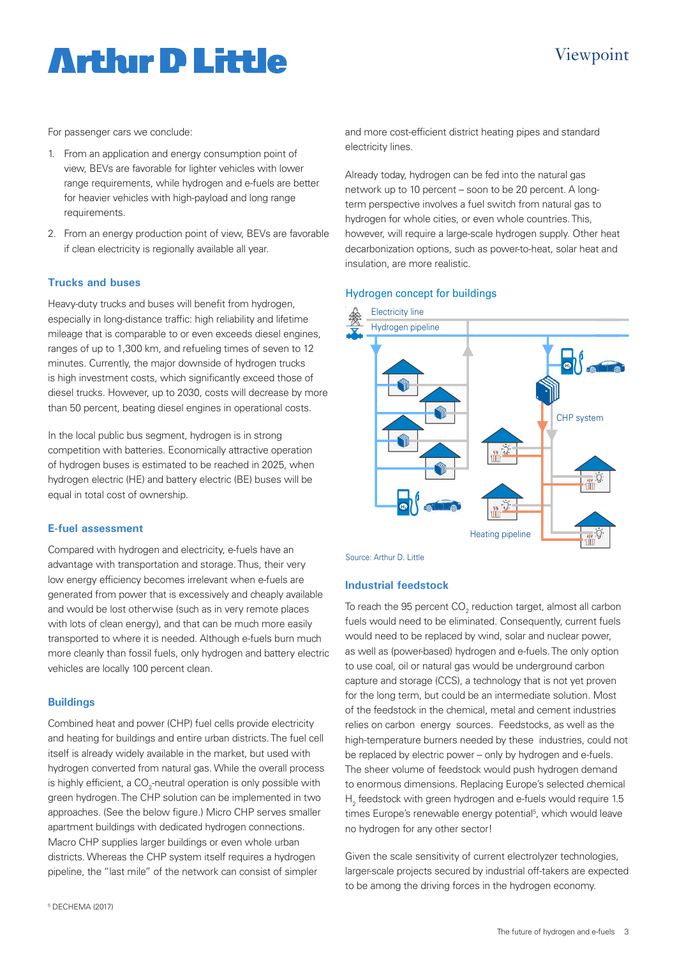# **Arthur D Little**

## Viewpoint

For passenger cars we conclude:

- 1. From an application and energy consumption point of view, BEVs are favorable for lighter vehicles with lower range requirements, while hydrogen and e-fuels are better for heavier vehicles with high-payload and long range requirements.
- 2. From an energy production point of view, BEVs are favorable if clean electricity is regionally available all year.

### **Trucks and buses**

Heavy-duty trucks and buses will benefit from hydrogen, especially in long-distance traffic: high reliability and lifetime mileage that is comparable to or even exceeds diesel engines, ranges of up to 1,300 km, and refueling times of seven to 12 minutes. Currently, the major downside of hydrogen trucks is high investment costs, which significantly exceed those of diesel trucks. However, up to 2030, costs will decrease by more than 50 percent, beating diesel engines in operational costs.

In the local public bus segment, hydrogen is in strong competition with batteries. Economically attractive operation of hydrogen buses is estimated to be reached in 2025, when hydrogen electric (HE) and battery electric (BE) buses will be equal in total cost of ownership.

### **E-fuel assessment**

Compared with hydrogen and electricity, e-fuels have an advantage with transportation and storage. Thus, their very low energy efficiency becomes irrelevant when e-fuels are generated from power that is excessively and cheaply available and would be lost otherwise (such as in very remote places with lots of clean energy), and that can be much more easily transported to where it is needed. Although e-fuels burn much more cleanly than fossil fuels, only hydrogen and battery electric vehicles are locally 100 percent clean.

### **Buildings**

Combined heat and power (CHP) fuel cells provide electricity and heating for buildings and entire urban districts. The fuel cell itself is already widely available in the market, but used with hydrogen converted from natural gas. While the overall process is highly efficient, a CO<sub>2</sub>-neutral operation is only possible with green hydrogen. The CHP solution can be implemented in two approaches. (See the below figure.) Micro CHP serves smaller apartment buildings with dedicated hydrogen connections. Macro CHP supplies larger buildings or even whole urban districts. Whereas the CHP system itself requires a hydrogen pipeline, the "last mile" of the network can consist of simpler

and more cost-efficient district heating pipes and standard electricity lines.

Already today, hydrogen can be fed into the natural gas network up to 10 percent – soon to be 20 percent. A longterm perspective involves a fuel switch from natural gas to hydrogen for whole cities, or even whole countries. This, however, will require a large-scale hydrogen supply. Other heat decarbonization options, such as power-to-heat, solar heat and insulation, are more realistic.

### . Hydrogen concept for buildings



Source: Arthur D. Little

### **Industrial feedstock**

To reach the 95 percent CO $_{\textrm{\tiny{2}}}$  reduction target, almost all carbon fuels would need to be eliminated. Consequently, current fuels would need to be replaced by wind, solar and nuclear power, as well as (power-based) hydrogen and e-fuels. The only option to use coal, oil or natural gas would be underground carbon capture and storage (CCS), a technology that is not yet proven for the long term, but could be an intermediate solution. Most of the feedstock in the chemical, metal and cement industries relies on carbon energy sources. Feedstocks, as well as the high-temperature burners needed by these industries, could not be replaced by electric power – only by hydrogen and e-fuels. The sheer volume of feedstock would push hydrogen demand to enormous dimensions. Replacing Europe's selected chemical  $\rm H_2$  feedstock with green hydrogen and e-fuels would require 1.5 times Europe's renewable energy potential<sup>5</sup>, which would leave no hydrogen for any other sector!

Given the scale sensitivity of current electrolyzer technologies, larger-scale projects secured by industrial off-takers are expected to be among the driving forces in the hydrogen economy.